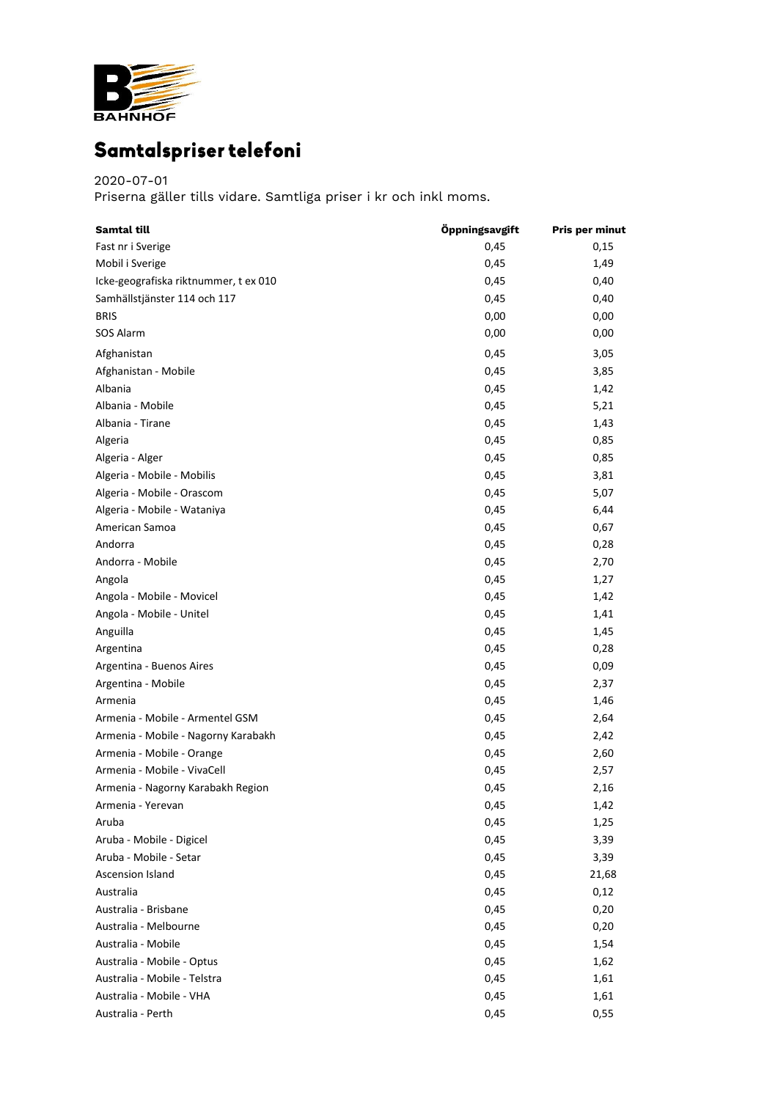

## Samtalspriser telefoni

## 2020-07-01

Priserna gäller tills vidare. Samtliga priser i kr och inkl moms.

| <b>Samtal till</b>                    | Öppningsavgift | <b>Pris per minut</b> |
|---------------------------------------|----------------|-----------------------|
| Fast nr i Sverige                     | 0,45           | 0,15                  |
| Mobil i Sverige                       | 0,45           | 1,49                  |
| Icke-geografiska riktnummer, t ex 010 | 0,45           | 0,40                  |
| Samhällstjänster 114 och 117          | 0,45           | 0,40                  |
| <b>BRIS</b>                           | 0,00           | 0,00                  |
| SOS Alarm                             | 0,00           | 0,00                  |
| Afghanistan                           | 0,45           | 3,05                  |
| Afghanistan - Mobile                  | 0,45           | 3,85                  |
| Albania                               | 0,45           | 1,42                  |
| Albania - Mobile                      | 0,45           | 5,21                  |
| Albania - Tirane                      | 0,45           | 1,43                  |
| Algeria                               | 0,45           | 0,85                  |
| Algeria - Alger                       | 0,45           | 0,85                  |
| Algeria - Mobile - Mobilis            | 0,45           | 3,81                  |
| Algeria - Mobile - Orascom            | 0,45           | 5,07                  |
| Algeria - Mobile - Wataniya           | 0,45           | 6,44                  |
| American Samoa                        | 0,45           | 0,67                  |
| Andorra                               | 0,45           | 0,28                  |
| Andorra - Mobile                      | 0,45           | 2,70                  |
| Angola                                | 0,45           | 1,27                  |
| Angola - Mobile - Movicel             | 0,45           | 1,42                  |
|                                       |                |                       |
| Angola - Mobile - Unitel              | 0,45           | 1,41                  |
| Anguilla                              | 0,45           | 1,45                  |
| Argentina                             | 0,45           | 0,28                  |
| Argentina - Buenos Aires              | 0,45           | 0,09                  |
| Argentina - Mobile                    | 0,45           | 2,37                  |
| Armenia                               | 0,45           | 1,46                  |
| Armenia - Mobile - Armentel GSM       | 0,45           | 2,64                  |
| Armenia - Mobile - Nagorny Karabakh   | 0,45           | 2,42                  |
| Armenia - Mobile - Orange             | 0,45           | 2,60                  |
| Armenia - Mobile - VivaCell           | 0,45           | 2,57                  |
| Armenia - Nagorny Karabakh Region     | 0,45           | 2,16                  |
| Armenia - Yerevan                     | 0,45           | 1,42                  |
| Aruba                                 | 0,45           | 1,25                  |
| Aruba - Mobile - Digicel              | 0,45           | 3,39                  |
| Aruba - Mobile - Setar                | 0,45           | 3,39                  |
| Ascension Island                      | 0,45           | 21,68                 |
| Australia                             | 0,45           | 0,12                  |
| Australia - Brisbane                  | 0,45           | 0,20                  |
| Australia - Melbourne                 | 0,45           | 0,20                  |
| Australia - Mobile                    | 0,45           | 1,54                  |
| Australia - Mobile - Optus            | 0,45           | 1,62                  |
| Australia - Mobile - Telstra          | 0,45           | 1,61                  |
| Australia - Mobile - VHA              | 0,45           | 1,61                  |
| Australia - Perth                     | 0,45           | 0,55                  |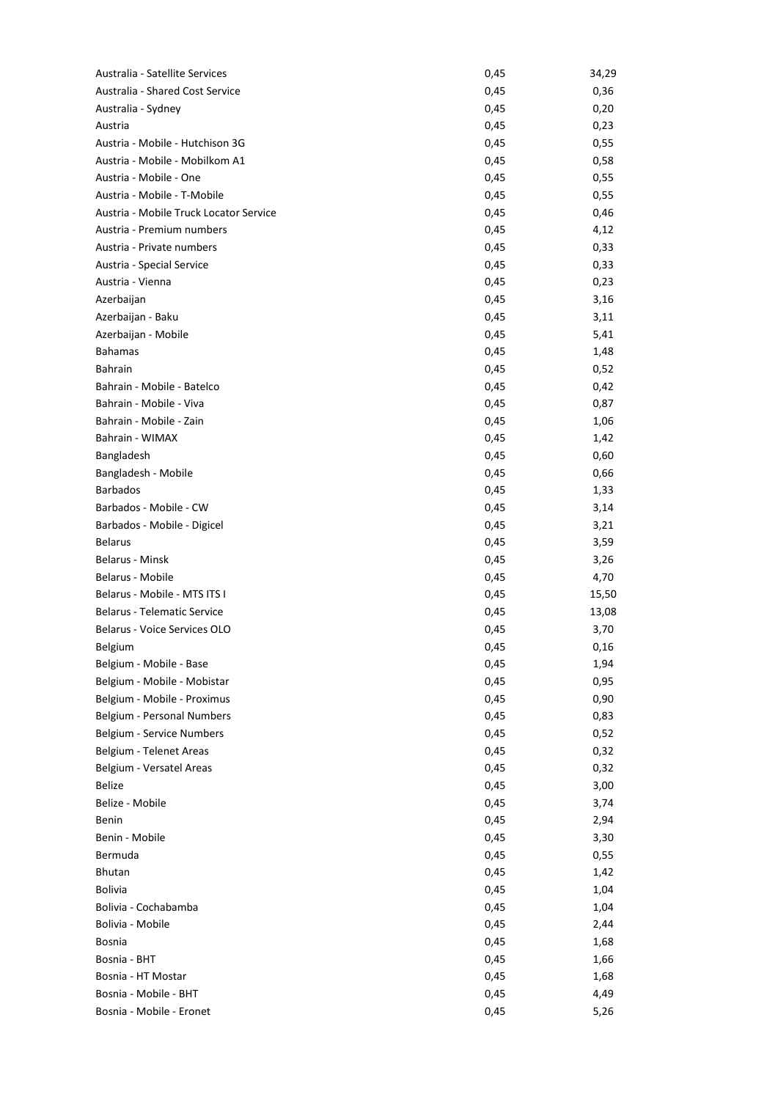| Australia - Satellite Services         | 0,45 | 34,29 |
|----------------------------------------|------|-------|
| Australia - Shared Cost Service        | 0,45 | 0,36  |
| Australia - Sydney                     | 0,45 | 0,20  |
| Austria                                | 0,45 | 0,23  |
| Austria - Mobile - Hutchison 3G        | 0,45 | 0,55  |
| Austria - Mobile - Mobilkom A1         | 0,45 | 0,58  |
| Austria - Mobile - One                 | 0,45 | 0,55  |
| Austria - Mobile - T-Mobile            | 0,45 | 0,55  |
| Austria - Mobile Truck Locator Service | 0,45 | 0,46  |
| Austria - Premium numbers              | 0,45 | 4,12  |
| Austria - Private numbers              | 0,45 | 0,33  |
| Austria - Special Service              | 0,45 | 0,33  |
| Austria - Vienna                       | 0,45 | 0,23  |
| Azerbaijan                             | 0,45 | 3,16  |
| Azerbaijan - Baku                      | 0,45 | 3,11  |
| Azerbaijan - Mobile                    | 0,45 | 5,41  |
| <b>Bahamas</b>                         | 0,45 | 1,48  |
| <b>Bahrain</b>                         | 0,45 | 0,52  |
| Bahrain - Mobile - Batelco             | 0,45 | 0,42  |
| Bahrain - Mobile - Viva                | 0,45 | 0,87  |
| Bahrain - Mobile - Zain                | 0,45 | 1,06  |
| Bahrain - WIMAX                        | 0,45 | 1,42  |
| Bangladesh                             | 0,45 | 0,60  |
| Bangladesh - Mobile                    | 0,45 | 0,66  |
| <b>Barbados</b>                        | 0,45 | 1,33  |
| Barbados - Mobile - CW                 | 0,45 | 3,14  |
| Barbados - Mobile - Digicel            | 0,45 | 3,21  |
| <b>Belarus</b>                         |      |       |
| Belarus - Minsk                        | 0,45 | 3,59  |
|                                        | 0,45 | 3,26  |
| Belarus - Mobile                       | 0,45 | 4,70  |
| Belarus - Mobile - MTS ITS I           | 0,45 | 15,50 |
| <b>Belarus - Telematic Service</b>     | 0,45 | 13,08 |
| Belarus - Voice Services OLO           | 0,45 | 3,70  |
| <b>Belgium</b>                         | 0,45 | 0,16  |
| Belgium - Mobile - Base                | 0,45 | 1,94  |
| Belgium - Mobile - Mobistar            | 0,45 | 0,95  |
| Belgium - Mobile - Proximus            | 0,45 | 0,90  |
| Belgium - Personal Numbers             | 0,45 | 0,83  |
| Belgium - Service Numbers              | 0,45 | 0,52  |
| Belgium - Telenet Areas                | 0,45 | 0,32  |
| Belgium - Versatel Areas               | 0,45 | 0,32  |
| <b>Belize</b>                          | 0,45 | 3,00  |
| Belize - Mobile                        | 0,45 | 3,74  |
| Benin                                  | 0,45 | 2,94  |
| Benin - Mobile                         | 0,45 | 3,30  |
| Bermuda                                | 0,45 | 0,55  |
| Bhutan                                 | 0,45 | 1,42  |
| <b>Bolivia</b>                         | 0,45 | 1,04  |
| Bolivia - Cochabamba                   | 0,45 | 1,04  |
| Bolivia - Mobile                       | 0,45 | 2,44  |
| <b>Bosnia</b>                          | 0,45 | 1,68  |
| Bosnia - BHT                           | 0,45 | 1,66  |
| Bosnia - HT Mostar                     | 0,45 | 1,68  |
| Bosnia - Mobile - BHT                  | 0,45 | 4,49  |
| Bosnia - Mobile - Eronet               | 0,45 | 5,26  |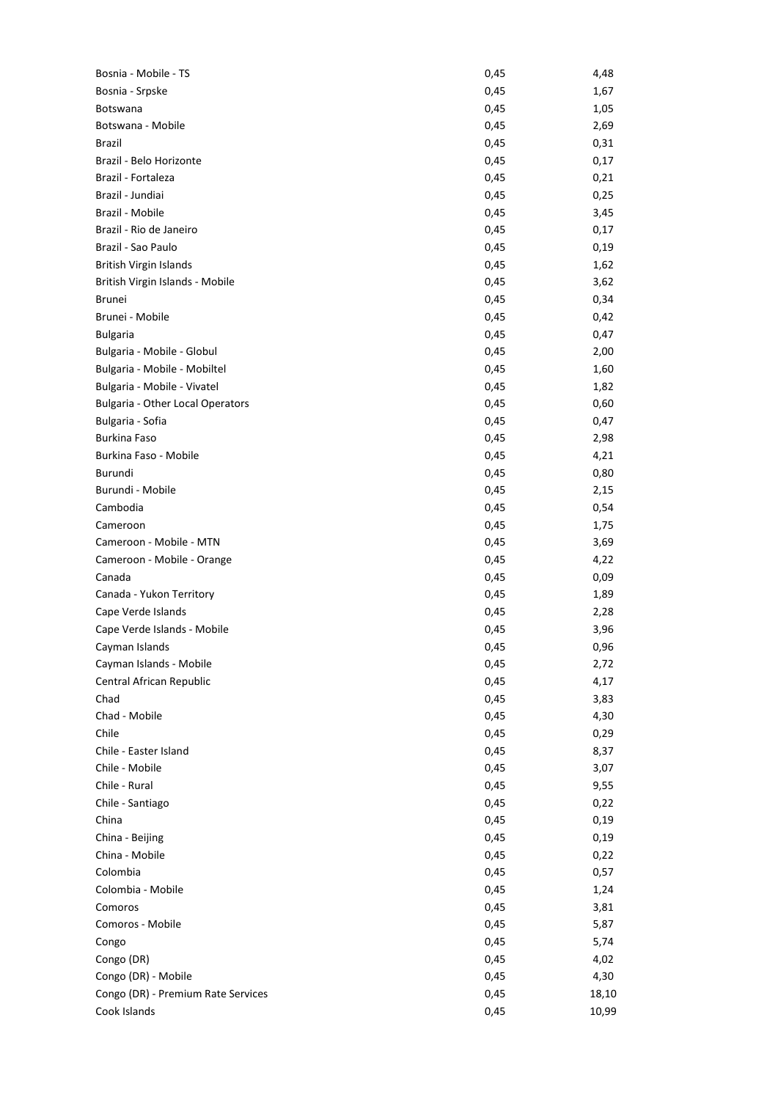| Bosnia - Mobile - TS                    | 0,45 | 4,48  |
|-----------------------------------------|------|-------|
| Bosnia - Srpske                         | 0,45 | 1,67  |
| <b>Botswana</b>                         | 0,45 | 1,05  |
| Botswana - Mobile                       | 0,45 | 2,69  |
| Brazil                                  | 0,45 | 0,31  |
| Brazil - Belo Horizonte                 | 0,45 | 0,17  |
| Brazil - Fortaleza                      | 0,45 | 0,21  |
| Brazil - Jundiai                        | 0,45 | 0,25  |
| Brazil - Mobile                         | 0,45 | 3,45  |
| Brazil - Rio de Janeiro                 | 0,45 | 0,17  |
| Brazil - Sao Paulo                      | 0,45 | 0,19  |
| <b>British Virgin Islands</b>           | 0,45 | 1,62  |
| British Virgin Islands - Mobile         | 0,45 | 3,62  |
| <b>Brunei</b>                           | 0,45 | 0,34  |
| Brunei - Mobile                         | 0,45 | 0,42  |
| <b>Bulgaria</b>                         | 0,45 | 0,47  |
| Bulgaria - Mobile - Globul              | 0,45 | 2,00  |
| Bulgaria - Mobile - Mobiltel            | 0,45 | 1,60  |
| Bulgaria - Mobile - Vivatel             | 0,45 | 1,82  |
| <b>Bulgaria - Other Local Operators</b> | 0,45 | 0,60  |
| Bulgaria - Sofia                        | 0,45 | 0,47  |
| <b>Burkina Faso</b>                     | 0,45 | 2,98  |
| Burkina Faso - Mobile                   | 0,45 | 4,21  |
| Burundi                                 |      |       |
| Burundi - Mobile                        | 0,45 | 0,80  |
|                                         | 0,45 | 2,15  |
| Cambodia                                | 0,45 | 0,54  |
| Cameroon                                | 0,45 | 1,75  |
| Cameroon - Mobile - MTN                 | 0,45 | 3,69  |
| Cameroon - Mobile - Orange              | 0,45 | 4,22  |
| Canada                                  | 0,45 | 0,09  |
| Canada - Yukon Territory                | 0,45 | 1,89  |
| Cape Verde Islands                      | 0,45 | 2,28  |
| Cape Verde Islands - Mobile             | 0,45 | 3,96  |
| Cayman Islands                          | 0,45 | 0,96  |
| Cayman Islands - Mobile                 | 0,45 | 2,72  |
| Central African Republic                | 0,45 | 4,17  |
| Chad                                    | 0,45 | 3,83  |
| Chad - Mobile                           | 0,45 | 4,30  |
| Chile                                   | 0,45 | 0,29  |
| Chile - Easter Island                   | 0,45 | 8,37  |
| Chile - Mobile                          | 0,45 | 3,07  |
| Chile - Rural                           | 0,45 | 9,55  |
| Chile - Santiago                        | 0,45 | 0,22  |
| China                                   | 0,45 | 0,19  |
| China - Beijing                         | 0,45 | 0,19  |
| China - Mobile                          | 0,45 | 0,22  |
| Colombia                                | 0,45 | 0,57  |
| Colombia - Mobile                       | 0,45 | 1,24  |
| Comoros                                 | 0,45 | 3,81  |
| Comoros - Mobile                        | 0,45 | 5,87  |
| Congo                                   | 0,45 | 5,74  |
| Congo (DR)                              | 0,45 | 4,02  |
| Congo (DR) - Mobile                     | 0,45 | 4,30  |
| Congo (DR) - Premium Rate Services      | 0,45 | 18,10 |
| Cook Islands                            | 0,45 | 10,99 |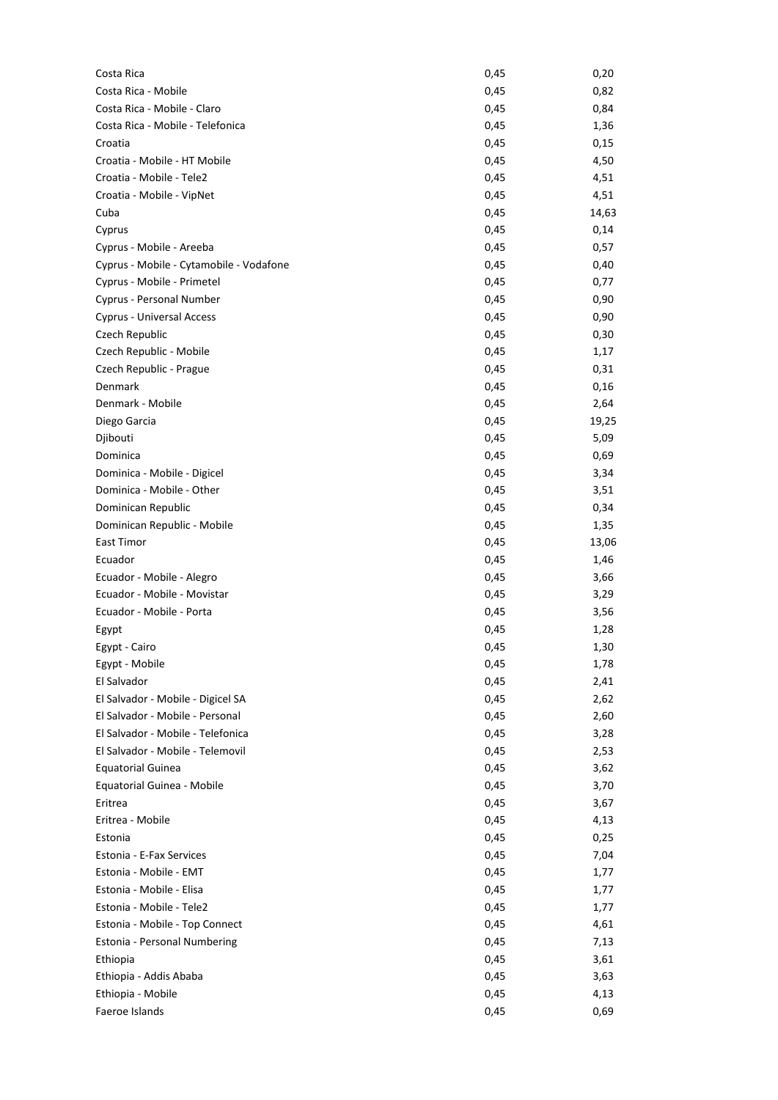| Costa Rica                              | 0,45 | 0,20  |
|-----------------------------------------|------|-------|
| Costa Rica - Mobile                     | 0,45 | 0,82  |
| Costa Rica - Mobile - Claro             | 0,45 | 0,84  |
| Costa Rica - Mobile - Telefonica        | 0,45 | 1,36  |
| Croatia                                 | 0,45 | 0,15  |
| Croatia - Mobile - HT Mobile            | 0,45 | 4,50  |
| Croatia - Mobile - Tele2                | 0,45 | 4,51  |
| Croatia - Mobile - VipNet               | 0,45 | 4,51  |
| Cuba                                    | 0,45 | 14,63 |
| Cyprus                                  | 0,45 | 0,14  |
| Cyprus - Mobile - Areeba                | 0,45 | 0,57  |
| Cyprus - Mobile - Cytamobile - Vodafone | 0,45 | 0,40  |
| Cyprus - Mobile - Primetel              | 0,45 | 0,77  |
| Cyprus - Personal Number                | 0,45 | 0,90  |
| Cyprus - Universal Access               | 0,45 | 0,90  |
| Czech Republic                          | 0,45 | 0,30  |
| Czech Republic - Mobile                 | 0,45 | 1,17  |
| Czech Republic - Prague                 | 0,45 | 0,31  |
| Denmark                                 | 0,45 | 0,16  |
| Denmark - Mobile                        | 0,45 | 2,64  |
| Diego Garcia                            | 0,45 | 19,25 |
| Djibouti                                | 0,45 | 5,09  |
| Dominica                                | 0,45 | 0,69  |
| Dominica - Mobile - Digicel             | 0,45 | 3,34  |
| Dominica - Mobile - Other               | 0,45 | 3,51  |
| Dominican Republic                      | 0,45 | 0,34  |
| Dominican Republic - Mobile             | 0,45 | 1,35  |
| East Timor                              | 0,45 | 13,06 |
| Ecuador                                 | 0,45 | 1,46  |
| Ecuador - Mobile - Alegro               | 0,45 | 3,66  |
| Ecuador - Mobile - Movistar             | 0,45 | 3,29  |
| Ecuador - Mobile - Porta                | 0,45 | 3,56  |
| Egypt                                   | 0,45 | 1,28  |
| Egypt - Cairo                           | 0,45 | 1,30  |
| Egypt - Mobile                          | 0,45 | 1,78  |
| El Salvador                             | 0,45 | 2,41  |
| El Salvador - Mobile - Digicel SA       | 0,45 | 2,62  |
| El Salvador - Mobile - Personal         | 0,45 | 2,60  |
| El Salvador - Mobile - Telefonica       | 0,45 | 3,28  |
| El Salvador - Mobile - Telemovil        | 0,45 | 2,53  |
| <b>Equatorial Guinea</b>                | 0,45 | 3,62  |
| Equatorial Guinea - Mobile              | 0,45 | 3,70  |
| Eritrea                                 | 0,45 | 3,67  |
| Eritrea - Mobile                        | 0,45 | 4,13  |
| Estonia                                 | 0,45 | 0,25  |
| Estonia - E-Fax Services                | 0,45 | 7,04  |
| Estonia - Mobile - EMT                  | 0,45 | 1,77  |
| Estonia - Mobile - Elisa                | 0,45 | 1,77  |
| Estonia - Mobile - Tele2                | 0,45 | 1,77  |
| Estonia - Mobile - Top Connect          | 0,45 | 4,61  |
| Estonia - Personal Numbering            | 0,45 | 7,13  |
| Ethiopia                                | 0,45 | 3,61  |
| Ethiopia - Addis Ababa                  | 0,45 | 3,63  |
| Ethiopia - Mobile                       | 0,45 | 4,13  |
| Faeroe Islands                          | 0,45 | 0,69  |
|                                         |      |       |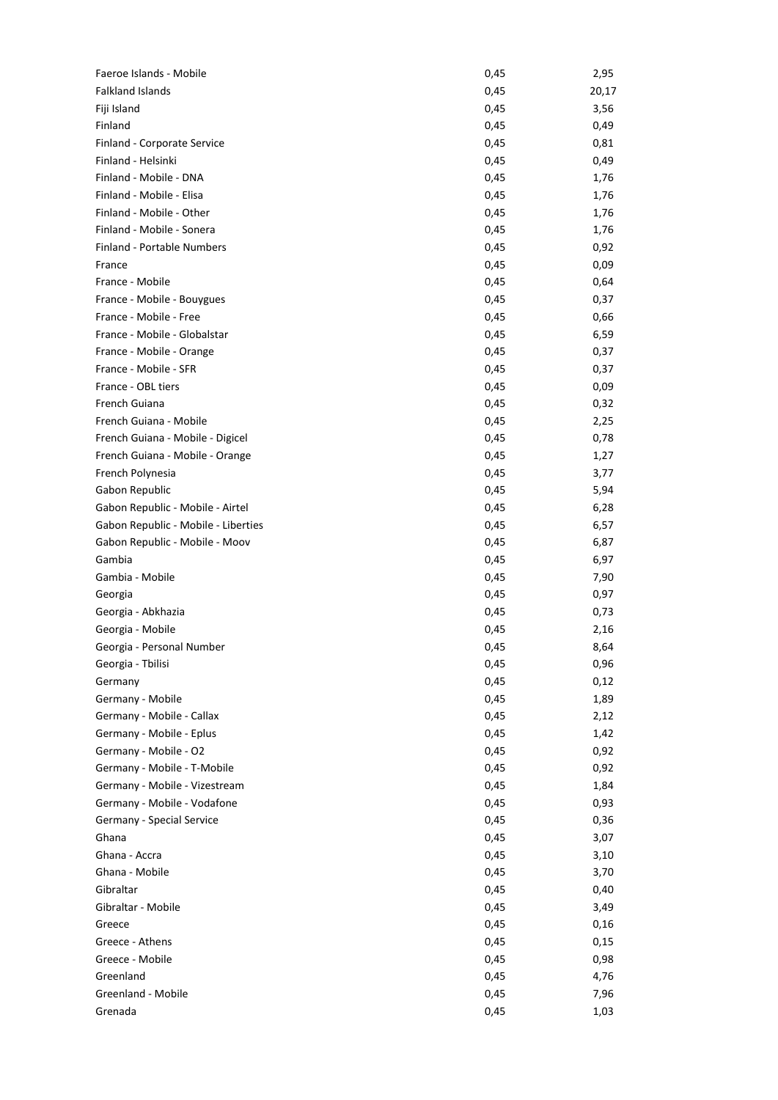| Faeroe Islands - Mobile             | 0,45 | 2,95  |
|-------------------------------------|------|-------|
| <b>Falkland Islands</b>             | 0,45 | 20,17 |
| Fiji Island                         | 0,45 | 3,56  |
| Finland                             | 0,45 | 0,49  |
| Finland - Corporate Service         | 0,45 | 0,81  |
| Finland - Helsinki                  | 0,45 | 0,49  |
| Finland - Mobile - DNA              | 0,45 | 1,76  |
| Finland - Mobile - Elisa            | 0,45 | 1,76  |
| Finland - Mobile - Other            | 0,45 | 1,76  |
| Finland - Mobile - Sonera           | 0,45 | 1,76  |
| Finland - Portable Numbers          | 0,45 | 0,92  |
| France                              | 0,45 | 0,09  |
| France - Mobile                     | 0,45 | 0,64  |
| France - Mobile - Bouygues          | 0,45 | 0,37  |
| France - Mobile - Free              | 0,45 | 0,66  |
| France - Mobile - Globalstar        | 0,45 | 6,59  |
| France - Mobile - Orange            | 0,45 | 0,37  |
| France - Mobile - SFR               | 0,45 | 0,37  |
| France - OBL tiers                  | 0,45 | 0,09  |
| French Guiana                       | 0,45 | 0,32  |
| French Guiana - Mobile              | 0,45 | 2,25  |
| French Guiana - Mobile - Digicel    | 0,45 | 0,78  |
| French Guiana - Mobile - Orange     | 0,45 | 1,27  |
| French Polynesia                    | 0,45 | 3,77  |
| Gabon Republic                      | 0,45 | 5,94  |
| Gabon Republic - Mobile - Airtel    | 0,45 | 6,28  |
| Gabon Republic - Mobile - Liberties | 0,45 | 6,57  |
| Gabon Republic - Mobile - Moov      | 0,45 | 6,87  |
| Gambia                              | 0,45 | 6,97  |
| Gambia - Mobile                     | 0,45 | 7,90  |
| Georgia                             | 0,45 | 0,97  |
| Georgia - Abkhazia                  | 0,45 | 0,73  |
| Georgia - Mobile                    | 0,45 | 2,16  |
| Georgia - Personal Number           | 0,45 | 8,64  |
| Georgia - Tbilisi                   | 0,45 | 0,96  |
| Germany                             | 0,45 | 0,12  |
| Germany - Mobile                    | 0,45 | 1,89  |
| Germany - Mobile - Callax           | 0,45 | 2,12  |
| Germany - Mobile - Eplus            | 0,45 | 1,42  |
| Germany - Mobile - O2               | 0,45 | 0,92  |
| Germany - Mobile - T-Mobile         | 0,45 | 0,92  |
| Germany - Mobile - Vizestream       | 0,45 | 1,84  |
| Germany - Mobile - Vodafone         | 0,45 | 0,93  |
| Germany - Special Service           | 0,45 | 0,36  |
| Ghana                               | 0,45 | 3,07  |
| Ghana - Accra                       | 0,45 | 3,10  |
| Ghana - Mobile                      | 0,45 | 3,70  |
| Gibraltar                           | 0,45 | 0,40  |
| Gibraltar - Mobile                  | 0,45 | 3,49  |
| Greece                              | 0,45 | 0,16  |
| Greece - Athens                     | 0,45 | 0,15  |
| Greece - Mobile                     | 0,45 | 0,98  |
| Greenland                           | 0,45 | 4,76  |
| Greenland - Mobile                  | 0,45 | 7,96  |
| Grenada                             | 0,45 | 1,03  |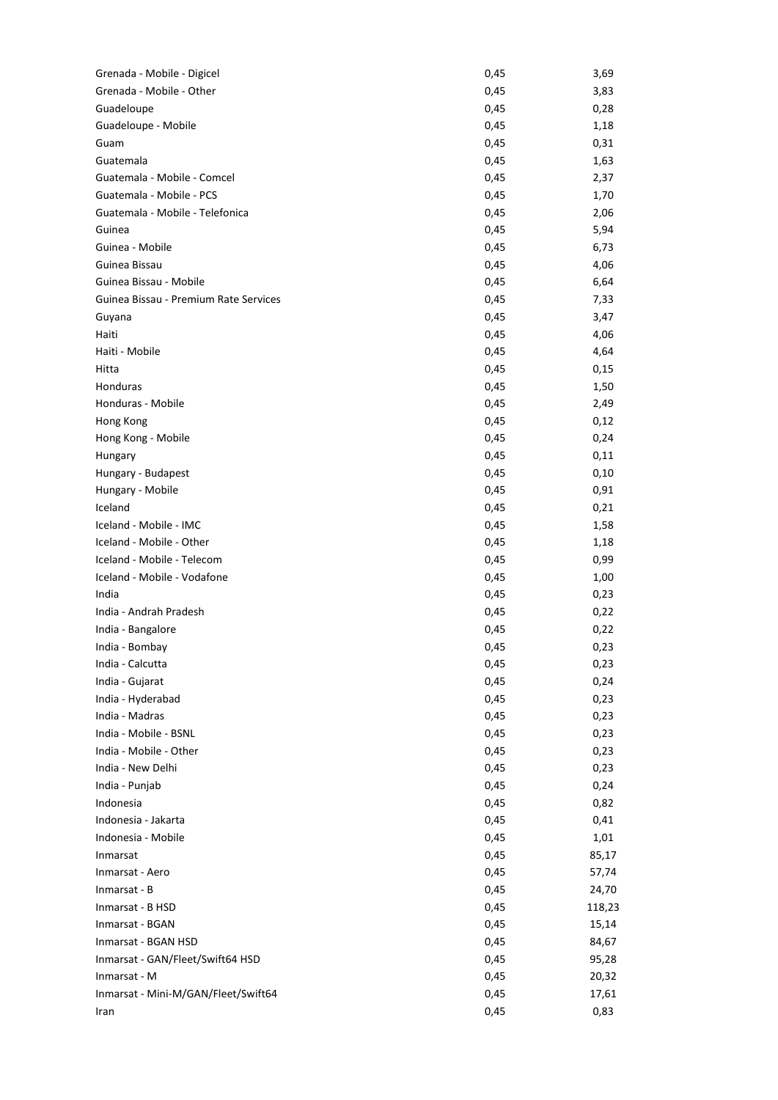| Grenada - Mobile - Digicel            | 0,45 | 3,69   |
|---------------------------------------|------|--------|
| Grenada - Mobile - Other              | 0,45 | 3,83   |
| Guadeloupe                            | 0,45 | 0,28   |
| Guadeloupe - Mobile                   | 0,45 | 1,18   |
| Guam                                  | 0,45 | 0,31   |
| Guatemala                             | 0,45 | 1,63   |
| Guatemala - Mobile - Comcel           | 0,45 | 2,37   |
| Guatemala - Mobile - PCS              | 0,45 | 1,70   |
| Guatemala - Mobile - Telefonica       | 0,45 | 2,06   |
| Guinea                                | 0,45 | 5,94   |
| Guinea - Mobile                       | 0,45 | 6,73   |
| Guinea Bissau                         | 0,45 | 4,06   |
| Guinea Bissau - Mobile                | 0,45 | 6,64   |
| Guinea Bissau - Premium Rate Services | 0,45 | 7,33   |
| Guyana                                | 0,45 | 3,47   |
| Haiti                                 | 0,45 | 4,06   |
| Haiti - Mobile                        | 0,45 | 4,64   |
| Hitta                                 | 0,45 | 0,15   |
| Honduras                              | 0,45 | 1,50   |
| Honduras - Mobile                     | 0,45 | 2,49   |
| Hong Kong                             | 0,45 | 0,12   |
| Hong Kong - Mobile                    | 0,45 | 0,24   |
| Hungary                               | 0,45 | 0,11   |
|                                       |      |        |
| Hungary - Budapest                    | 0,45 | 0,10   |
| Hungary - Mobile                      | 0,45 | 0,91   |
| Iceland                               | 0,45 | 0,21   |
| Iceland - Mobile - IMC                | 0,45 | 1,58   |
| Iceland - Mobile - Other              | 0,45 | 1,18   |
| Iceland - Mobile - Telecom            | 0,45 | 0,99   |
| Iceland - Mobile - Vodafone           | 0,45 | 1,00   |
| India                                 | 0,45 | 0,23   |
| India - Andrah Pradesh                | 0,45 | 0,22   |
| India - Bangalore                     | 0,45 | 0,22   |
| India - Bombay                        | 0,45 | 0,23   |
| India - Calcutta                      | 0,45 | 0,23   |
| India - Gujarat                       | 0,45 | 0,24   |
| India - Hyderabad                     | 0,45 | 0,23   |
| India - Madras                        | 0,45 | 0,23   |
| India - Mobile - BSNL                 | 0,45 | 0,23   |
| India - Mobile - Other                | 0,45 | 0,23   |
| India - New Delhi                     | 0,45 | 0,23   |
| India - Punjab                        | 0,45 | 0,24   |
| Indonesia                             | 0,45 | 0,82   |
| Indonesia - Jakarta                   | 0,45 | 0,41   |
| Indonesia - Mobile                    | 0,45 | 1,01   |
| Inmarsat                              | 0,45 | 85,17  |
| Inmarsat - Aero                       | 0,45 | 57,74  |
| Inmarsat - B                          | 0,45 | 24,70  |
| Inmarsat - B HSD                      | 0,45 | 118,23 |
| Inmarsat - BGAN                       | 0,45 | 15,14  |
| Inmarsat - BGAN HSD                   | 0,45 | 84,67  |
| Inmarsat - GAN/Fleet/Swift64 HSD      | 0,45 | 95,28  |
| Inmarsat - M                          | 0,45 | 20,32  |
| Inmarsat - Mini-M/GAN/Fleet/Swift64   | 0,45 | 17,61  |
| Iran                                  | 0,45 | 0,83   |
|                                       |      |        |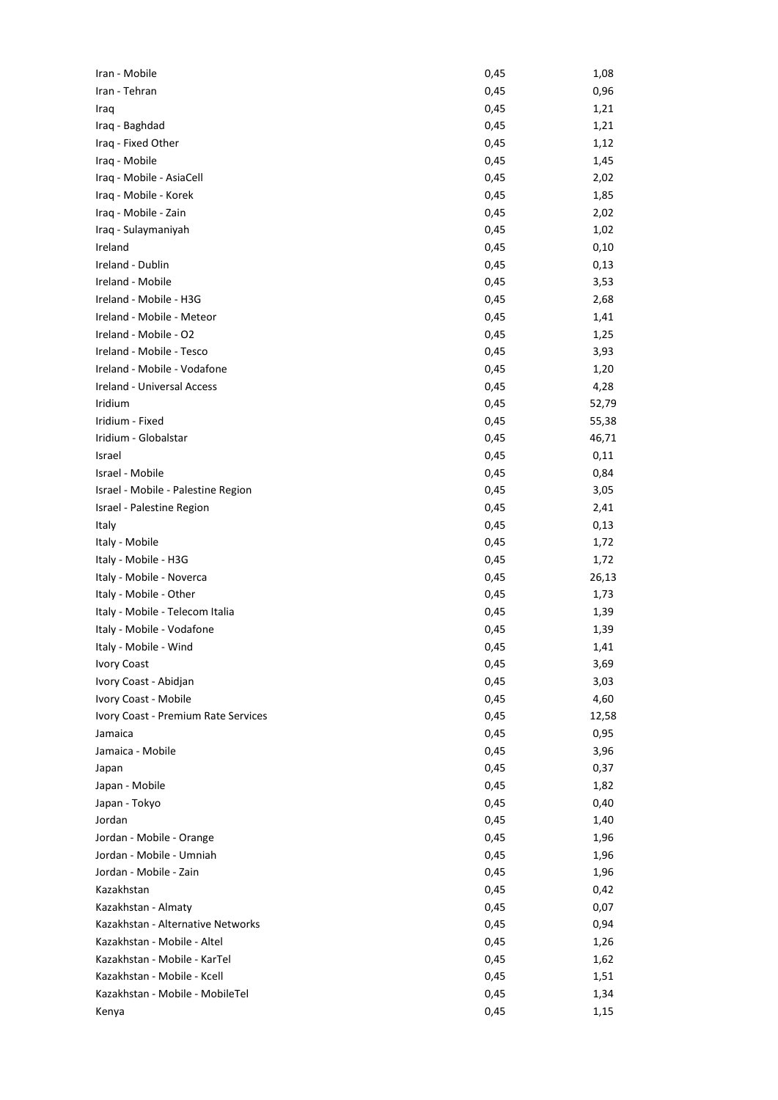| Iran - Mobile                       | 0,45 | 1,08  |
|-------------------------------------|------|-------|
| Iran - Tehran                       | 0,45 | 0,96  |
| Iraq                                | 0,45 | 1,21  |
| Iraq - Baghdad                      | 0,45 | 1,21  |
| Iraq - Fixed Other                  | 0,45 | 1,12  |
| Iraq - Mobile                       | 0,45 | 1,45  |
| Iraq - Mobile - AsiaCell            | 0,45 | 2,02  |
| Iraq - Mobile - Korek               | 0,45 | 1,85  |
| Iraq - Mobile - Zain                | 0,45 | 2,02  |
| Iraq - Sulaymaniyah                 | 0,45 | 1,02  |
| Ireland                             | 0,45 | 0,10  |
| Ireland - Dublin                    | 0,45 | 0,13  |
| Ireland - Mobile                    | 0,45 | 3,53  |
| Ireland - Mobile - H3G              | 0,45 | 2,68  |
| Ireland - Mobile - Meteor           | 0,45 | 1,41  |
| Ireland - Mobile - O2               | 0,45 | 1,25  |
| Ireland - Mobile - Tesco            | 0,45 | 3,93  |
| Ireland - Mobile - Vodafone         | 0,45 | 1,20  |
| Ireland - Universal Access          | 0,45 | 4,28  |
| Iridium                             | 0,45 | 52,79 |
| Iridium - Fixed                     | 0,45 | 55,38 |
| Iridium - Globalstar                | 0,45 | 46,71 |
| Israel                              | 0,45 | 0,11  |
| Israel - Mobile                     | 0,45 | 0,84  |
| Israel - Mobile - Palestine Region  | 0,45 | 3,05  |
| Israel - Palestine Region           | 0,45 | 2,41  |
| Italy                               | 0,45 | 0,13  |
| Italy - Mobile                      | 0,45 | 1,72  |
| Italy - Mobile - H3G                | 0,45 | 1,72  |
| Italy - Mobile - Noverca            | 0,45 | 26,13 |
| Italy - Mobile - Other              | 0,45 | 1,73  |
| Italy - Mobile - Telecom Italia     | 0,45 | 1,39  |
| Italy - Mobile - Vodafone           | 0,45 | 1,39  |
| Italy - Mobile - Wind               | 0,45 | 1,41  |
| <b>Ivory Coast</b>                  | 0,45 | 3,69  |
| Ivory Coast - Abidjan               | 0,45 | 3,03  |
| Ivory Coast - Mobile                | 0,45 | 4,60  |
| Ivory Coast - Premium Rate Services | 0,45 | 12,58 |
| Jamaica                             | 0,45 | 0,95  |
| Jamaica - Mobile                    | 0,45 | 3,96  |
| Japan                               | 0,45 | 0,37  |
| Japan - Mobile                      | 0,45 | 1,82  |
| Japan - Tokyo                       | 0,45 | 0,40  |
| Jordan                              | 0,45 | 1,40  |
| Jordan - Mobile - Orange            | 0,45 | 1,96  |
| Jordan - Mobile - Umniah            | 0,45 | 1,96  |
| Jordan - Mobile - Zain              | 0,45 | 1,96  |
| Kazakhstan                          | 0,45 | 0,42  |
| Kazakhstan - Almaty                 | 0,45 | 0,07  |
| Kazakhstan - Alternative Networks   | 0,45 | 0,94  |
| Kazakhstan - Mobile - Altel         | 0,45 | 1,26  |
| Kazakhstan - Mobile - KarTel        | 0,45 | 1,62  |
| Kazakhstan - Mobile - Kcell         | 0,45 | 1,51  |
| Kazakhstan - Mobile - MobileTel     | 0,45 | 1,34  |
| Kenya                               | 0,45 | 1,15  |
|                                     |      |       |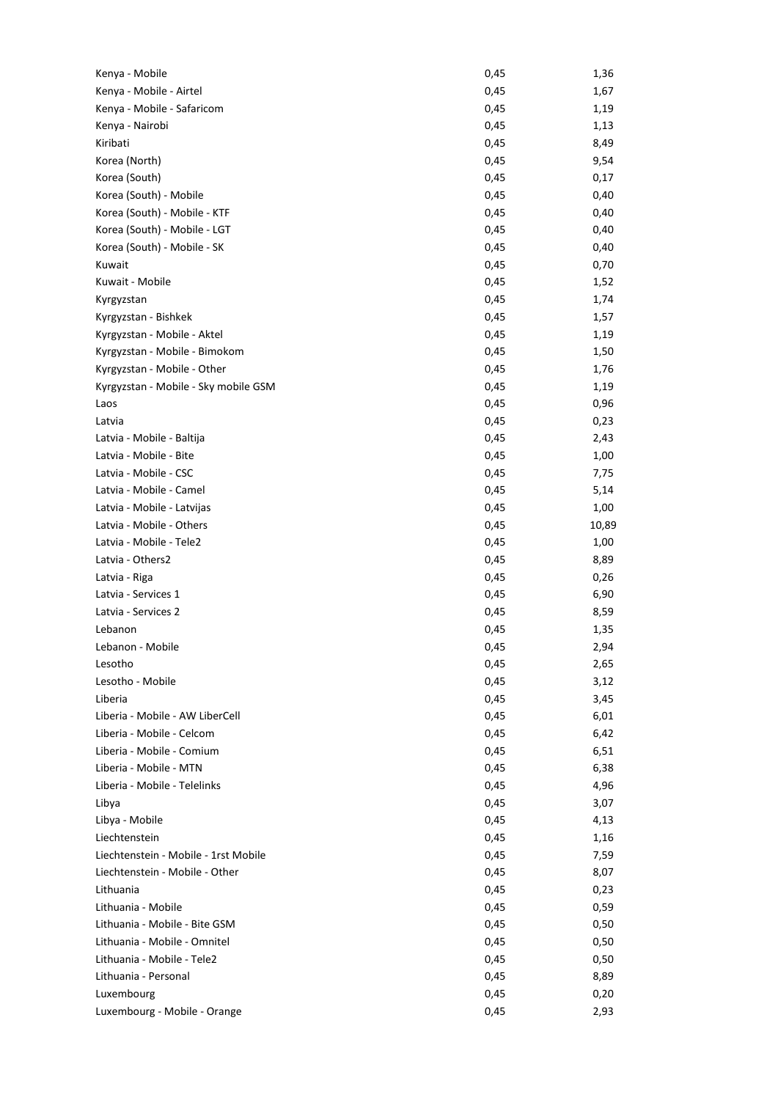| Kenya - Mobile                       | 0,45         | 1,36         |
|--------------------------------------|--------------|--------------|
| Kenya - Mobile - Airtel              | 0,45         | 1,67         |
| Kenya - Mobile - Safaricom           | 0,45         | 1,19         |
| Kenya - Nairobi                      | 0,45         | 1,13         |
| Kiribati                             | 0,45         | 8,49         |
| Korea (North)                        | 0,45         | 9,54         |
| Korea (South)                        | 0,45         | 0,17         |
| Korea (South) - Mobile               | 0,45         | 0,40         |
| Korea (South) - Mobile - KTF         | 0,45         | 0,40         |
| Korea (South) - Mobile - LGT         | 0,45         | 0,40         |
| Korea (South) - Mobile - SK          | 0,45         | 0,40         |
| Kuwait                               | 0,45         | 0,70         |
| Kuwait - Mobile                      | 0,45         | 1,52         |
| Kyrgyzstan                           | 0,45         | 1,74         |
| Kyrgyzstan - Bishkek                 | 0,45         | 1,57         |
| Kyrgyzstan - Mobile - Aktel          | 0,45         | 1,19         |
| Kyrgyzstan - Mobile - Bimokom        | 0,45         | 1,50         |
| Kyrgyzstan - Mobile - Other          | 0,45         | 1,76         |
| Kyrgyzstan - Mobile - Sky mobile GSM | 0,45         | 1,19         |
| Laos                                 | 0,45         | 0,96         |
| Latvia                               | 0,45         | 0,23         |
| Latvia - Mobile - Baltija            | 0,45         | 2,43         |
| Latvia - Mobile - Bite               | 0,45         | 1,00         |
| Latvia - Mobile - CSC                | 0,45         | 7,75         |
| Latvia - Mobile - Camel              | 0,45         | 5,14         |
| Latvia - Mobile - Latvijas           | 0,45         | 1,00         |
| Latvia - Mobile - Others             | 0,45         | 10,89        |
| Latvia - Mobile - Tele2              | 0,45         | 1,00         |
| Latvia - Others2                     | 0,45         | 8,89         |
| Latvia - Riga                        | 0,45         | 0,26         |
| Latvia - Services 1                  | 0,45         |              |
| Latvia - Services 2                  | 0,45         | 6,90<br>8,59 |
|                                      |              |              |
| Lebanon                              | 0,45<br>0,45 | 1,35<br>2,94 |
| Lebanon - Mobile<br>Lesotho          |              |              |
| Lesotho - Mobile                     | 0,45         | 2,65         |
|                                      | 0,45         | 3,12         |
| Liberia                              | 0,45         | 3,45         |
| Liberia - Mobile - AW LiberCell      | 0,45         | 6,01         |
| Liberia - Mobile - Celcom            | 0,45         | 6,42         |
| Liberia - Mobile - Comium            | 0,45         | 6,51         |
| Liberia - Mobile - MTN               | 0,45         | 6,38         |
| Liberia - Mobile - Telelinks         | 0,45         | 4,96         |
| Libya                                | 0,45         | 3,07         |
| Libya - Mobile                       | 0,45         | 4,13         |
| Liechtenstein                        | 0,45         | 1,16         |
| Liechtenstein - Mobile - 1rst Mobile | 0,45         | 7,59         |
| Liechtenstein - Mobile - Other       | 0,45         | 8,07         |
| Lithuania                            | 0,45         | 0,23         |
| Lithuania - Mobile                   | 0,45         | 0,59         |
| Lithuania - Mobile - Bite GSM        | 0,45         | 0,50         |
| Lithuania - Mobile - Omnitel         | 0,45         | 0,50         |
| Lithuania - Mobile - Tele2           | 0,45         | 0,50         |
| Lithuania - Personal                 | 0,45         | 8,89         |
| Luxembourg                           | 0,45         | 0,20         |
| Luxembourg - Mobile - Orange         | 0,45         | 2,93         |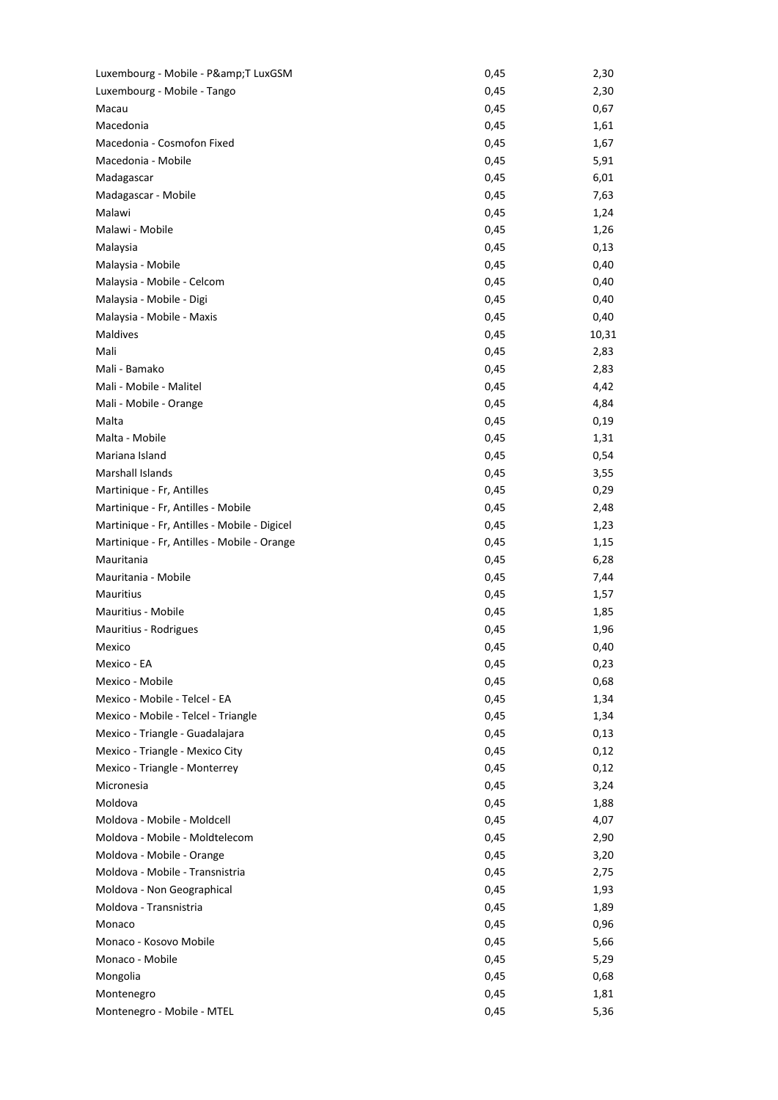| Luxembourg - Mobile - P&T LuxGSM             | 0,45 | 2,30         |
|----------------------------------------------|------|--------------|
| Luxembourg - Mobile - Tango                  | 0,45 | 2,30         |
| Macau                                        | 0,45 | 0,67         |
| Macedonia                                    | 0,45 | 1,61         |
| Macedonia - Cosmofon Fixed                   | 0,45 | 1,67         |
| Macedonia - Mobile                           | 0,45 | 5,91         |
| Madagascar                                   | 0,45 | 6,01         |
| Madagascar - Mobile                          | 0,45 | 7,63         |
| Malawi                                       | 0,45 | 1,24         |
| Malawi - Mobile                              | 0,45 | 1,26         |
| Malaysia                                     | 0,45 | 0,13         |
| Malaysia - Mobile                            | 0,45 | 0,40         |
| Malaysia - Mobile - Celcom                   | 0,45 | 0,40         |
| Malaysia - Mobile - Digi                     | 0,45 | 0,40         |
| Malaysia - Mobile - Maxis                    | 0,45 | 0,40         |
| Maldives                                     | 0,45 | 10,31        |
| Mali                                         | 0,45 | 2,83         |
| Mali - Bamako                                | 0,45 | 2,83         |
| Mali - Mobile - Malitel                      | 0,45 | 4,42         |
| Mali - Mobile - Orange                       | 0,45 | 4,84         |
| Malta                                        | 0,45 | 0,19         |
| Malta - Mobile                               | 0,45 | 1,31         |
| Mariana Island                               | 0,45 | 0,54         |
| <b>Marshall Islands</b>                      | 0,45 | 3,55         |
| Martinique - Fr, Antilles                    | 0,45 | 0,29         |
| Martinique - Fr, Antilles - Mobile           | 0,45 | 2,48         |
| Martinique - Fr, Antilles - Mobile - Digicel | 0,45 | 1,23         |
| Martinique - Fr, Antilles - Mobile - Orange  | 0,45 |              |
| Mauritania                                   | 0,45 | 1,15<br>6,28 |
| Mauritania - Mobile                          | 0,45 | 7,44         |
| Mauritius                                    | 0,45 | 1,57         |
| Mauritius - Mobile                           | 0,45 | 1,85         |
|                                              |      |              |
| Mauritius - Rodrigues                        | 0,45 | 1,96         |
| Mexico                                       | 0,45 | 0,40         |
| Mexico - EA<br>Mexico - Mobile               | 0,45 | 0,23         |
|                                              | 0,45 | 0,68         |
| Mexico - Mobile - Telcel - EA                | 0,45 | 1,34         |
| Mexico - Mobile - Telcel - Triangle          | 0,45 | 1,34         |
| Mexico - Triangle - Guadalajara              | 0,45 | 0,13         |
| Mexico - Triangle - Mexico City              | 0,45 | 0,12         |
| Mexico - Triangle - Monterrey                | 0,45 | 0,12         |
| Micronesia                                   | 0,45 | 3,24         |
| Moldova                                      | 0,45 | 1,88         |
| Moldova - Mobile - Moldcell                  | 0,45 | 4,07         |
| Moldova - Mobile - Moldtelecom               | 0,45 | 2,90         |
| Moldova - Mobile - Orange                    | 0,45 | 3,20         |
| Moldova - Mobile - Transnistria              | 0,45 | 2,75         |
| Moldova - Non Geographical                   | 0,45 | 1,93         |
| Moldova - Transnistria                       | 0,45 | 1,89         |
| Monaco                                       | 0,45 | 0,96         |
| Monaco - Kosovo Mobile                       | 0,45 | 5,66         |
| Monaco - Mobile                              | 0,45 | 5,29         |
| Mongolia                                     | 0,45 | 0,68         |
| Montenegro                                   | 0,45 | 1,81         |
| Montenegro - Mobile - MTEL                   | 0,45 | 5,36         |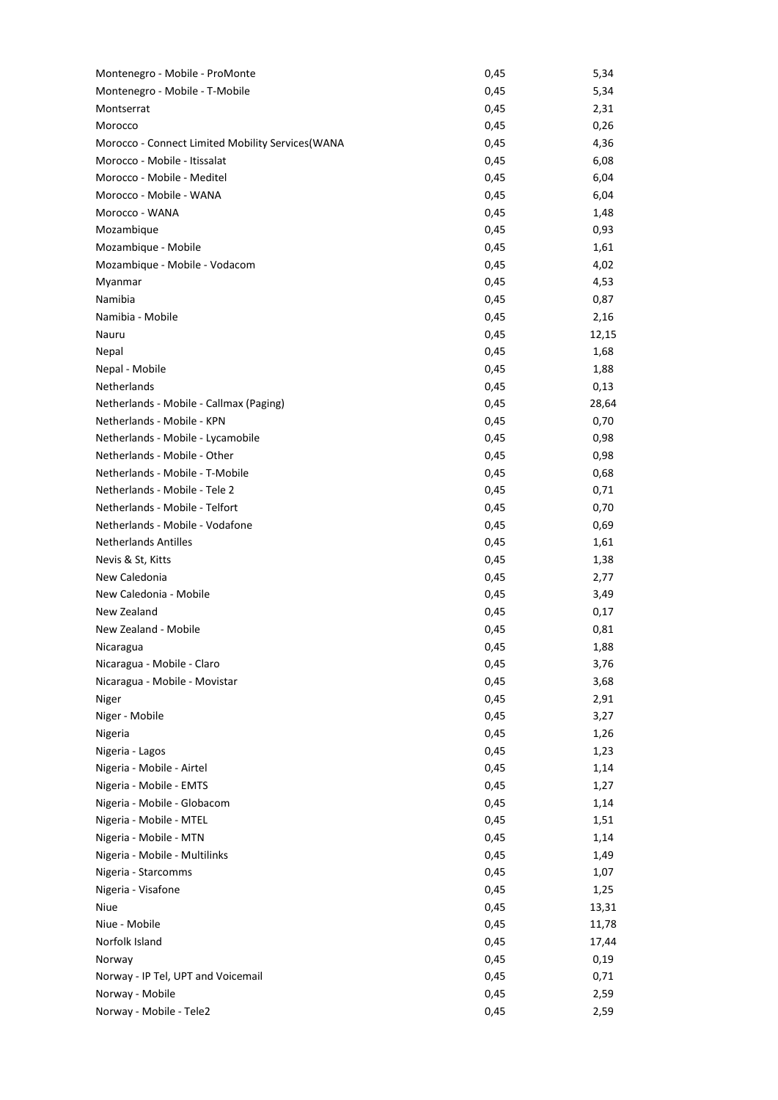| Montenegro - Mobile - ProMonte                    | 0,45 | 5,34  |
|---------------------------------------------------|------|-------|
| Montenegro - Mobile - T-Mobile                    | 0,45 | 5,34  |
| Montserrat                                        | 0,45 | 2,31  |
| Morocco                                           | 0,45 | 0,26  |
| Morocco - Connect Limited Mobility Services (WANA | 0,45 | 4,36  |
| Morocco - Mobile - Itissalat                      | 0,45 | 6,08  |
| Morocco - Mobile - Meditel                        | 0,45 | 6,04  |
| Morocco - Mobile - WANA                           | 0,45 | 6,04  |
| Morocco - WANA                                    | 0,45 | 1,48  |
| Mozambique                                        | 0,45 | 0,93  |
| Mozambique - Mobile                               | 0,45 | 1,61  |
| Mozambique - Mobile - Vodacom                     | 0,45 | 4,02  |
| Myanmar                                           | 0,45 | 4,53  |
| Namibia                                           | 0,45 | 0,87  |
| Namibia - Mobile                                  | 0,45 | 2,16  |
| Nauru                                             | 0,45 | 12,15 |
| Nepal                                             | 0,45 | 1,68  |
| Nepal - Mobile                                    | 0,45 | 1,88  |
| Netherlands                                       | 0,45 | 0,13  |
| Netherlands - Mobile - Callmax (Paging)           | 0,45 | 28,64 |
| Netherlands - Mobile - KPN                        | 0,45 | 0,70  |
| Netherlands - Mobile - Lycamobile                 | 0,45 | 0,98  |
| Netherlands - Mobile - Other                      | 0,45 | 0,98  |
| Netherlands - Mobile - T-Mobile                   | 0,45 | 0,68  |
| Netherlands - Mobile - Tele 2                     | 0,45 | 0,71  |
| Netherlands - Mobile - Telfort                    | 0,45 | 0,70  |
| Netherlands - Mobile - Vodafone                   |      |       |
| <b>Netherlands Antilles</b>                       | 0,45 | 0,69  |
|                                                   | 0,45 | 1,61  |
| Nevis & St, Kitts<br>New Caledonia                | 0,45 | 1,38  |
| New Caledonia - Mobile                            | 0,45 | 2,77  |
|                                                   | 0,45 | 3,49  |
| New Zealand                                       | 0,45 | 0,17  |
| New Zealand - Mobile                              | 0,45 | 0,81  |
| Nicaragua                                         | 0,45 | 1,88  |
| Nicaragua - Mobile - Claro                        | 0,45 | 3,76  |
| Nicaragua - Mobile - Movistar                     | 0,45 | 3,68  |
| Niger                                             | 0,45 | 2,91  |
| Niger - Mobile                                    | 0,45 | 3,27  |
| Nigeria                                           | 0,45 | 1,26  |
| Nigeria - Lagos                                   | 0,45 | 1,23  |
| Nigeria - Mobile - Airtel                         | 0,45 | 1,14  |
| Nigeria - Mobile - EMTS                           | 0,45 | 1,27  |
| Nigeria - Mobile - Globacom                       | 0,45 | 1,14  |
| Nigeria - Mobile - MTEL                           | 0,45 | 1,51  |
| Nigeria - Mobile - MTN                            | 0,45 | 1,14  |
| Nigeria - Mobile - Multilinks                     | 0,45 | 1,49  |
| Nigeria - Starcomms                               | 0,45 | 1,07  |
| Nigeria - Visafone                                | 0,45 | 1,25  |
| Niue                                              | 0,45 | 13,31 |
| Niue - Mobile                                     | 0,45 | 11,78 |
| Norfolk Island                                    | 0,45 | 17,44 |
| Norway                                            | 0,45 | 0,19  |
| Norway - IP Tel, UPT and Voicemail                | 0,45 | 0,71  |
| Norway - Mobile                                   | 0,45 | 2,59  |
| Norway - Mobile - Tele2                           | 0,45 | 2,59  |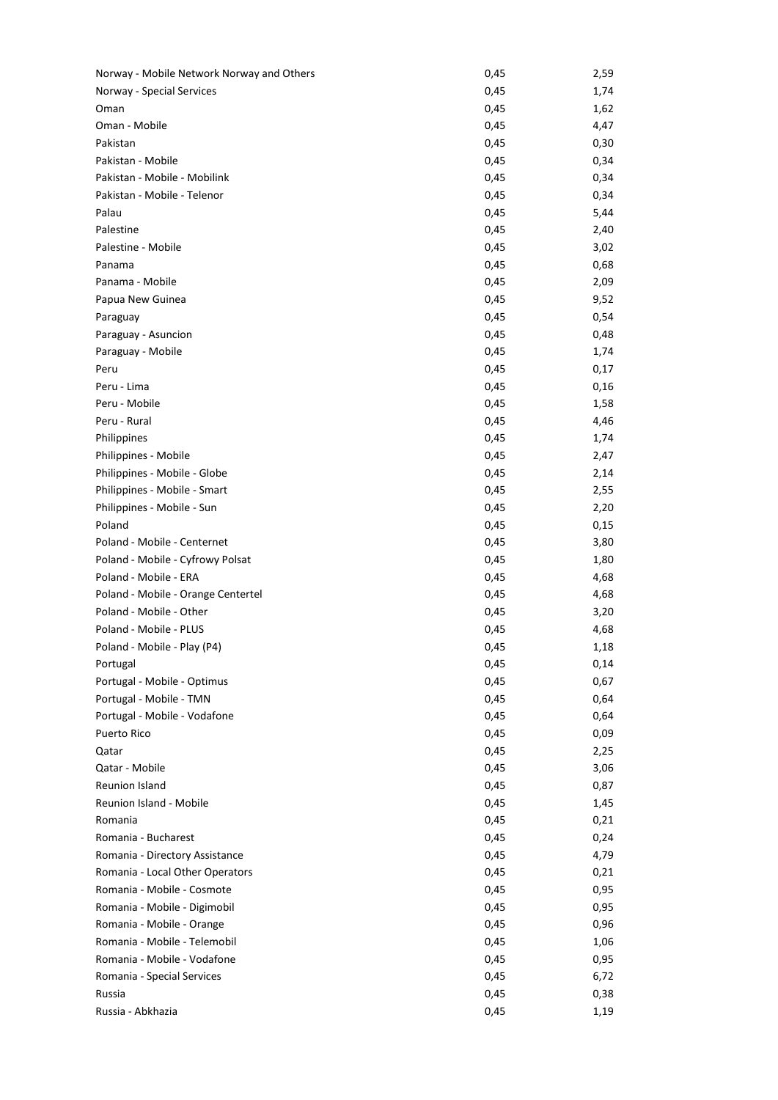| Norway - Mobile Network Norway and Others | 0,45 | 2,59 |
|-------------------------------------------|------|------|
| Norway - Special Services                 | 0,45 | 1,74 |
| Oman                                      | 0,45 | 1,62 |
| Oman - Mobile                             | 0,45 | 4,47 |
| Pakistan                                  | 0,45 | 0,30 |
| Pakistan - Mobile                         | 0,45 | 0,34 |
| Pakistan - Mobile - Mobilink              | 0,45 | 0,34 |
| Pakistan - Mobile - Telenor               | 0,45 | 0,34 |
| Palau                                     | 0,45 | 5,44 |
| Palestine                                 | 0,45 | 2,40 |
| Palestine - Mobile                        | 0,45 | 3,02 |
| Panama                                    | 0,45 | 0,68 |
| Panama - Mobile                           | 0,45 | 2,09 |
| Papua New Guinea                          | 0,45 | 9,52 |
| Paraguay                                  | 0,45 | 0,54 |
| Paraguay - Asuncion                       | 0,45 | 0,48 |
| Paraguay - Mobile                         | 0,45 | 1,74 |
| Peru                                      | 0,45 | 0,17 |
| Peru - Lima                               | 0,45 | 0,16 |
| Peru - Mobile                             | 0,45 | 1,58 |
| Peru - Rural                              | 0,45 | 4,46 |
| Philippines                               | 0,45 | 1,74 |
| Philippines - Mobile                      | 0,45 | 2,47 |
| Philippines - Mobile - Globe              | 0,45 | 2,14 |
| Philippines - Mobile - Smart              | 0,45 | 2,55 |
|                                           |      |      |
| Philippines - Mobile - Sun                | 0,45 | 2,20 |
| Poland                                    | 0,45 | 0,15 |
| Poland - Mobile - Centernet               | 0,45 | 3,80 |
| Poland - Mobile - Cyfrowy Polsat          | 0,45 | 1,80 |
| Poland - Mobile - ERA                     | 0,45 | 4,68 |
| Poland - Mobile - Orange Centertel        | 0,45 | 4,68 |
| Poland - Mobile - Other                   | 0,45 | 3,20 |
| Poland - Mobile - PLUS                    | 0,45 | 4,68 |
| Poland - Mobile - Play (P4)               | 0,45 | 1,18 |
| Portugal                                  | 0,45 | 0,14 |
| Portugal - Mobile - Optimus               | 0,45 | 0,67 |
| Portugal - Mobile - TMN                   | 0,45 | 0,64 |
| Portugal - Mobile - Vodafone              | 0,45 | 0,64 |
| <b>Puerto Rico</b>                        | 0,45 | 0,09 |
| Qatar                                     | 0,45 | 2,25 |
| Qatar - Mobile                            | 0,45 | 3,06 |
| <b>Reunion Island</b>                     | 0,45 | 0,87 |
| Reunion Island - Mobile                   | 0,45 | 1,45 |
| Romania                                   | 0,45 | 0,21 |
| Romania - Bucharest                       | 0,45 | 0,24 |
| Romania - Directory Assistance            | 0,45 | 4,79 |
| Romania - Local Other Operators           | 0,45 | 0,21 |
| Romania - Mobile - Cosmote                | 0,45 | 0,95 |
| Romania - Mobile - Digimobil              | 0,45 | 0,95 |
| Romania - Mobile - Orange                 | 0,45 | 0,96 |
| Romania - Mobile - Telemobil              | 0,45 | 1,06 |
| Romania - Mobile - Vodafone               | 0,45 | 0,95 |
| Romania - Special Services                | 0,45 | 6,72 |
| Russia                                    | 0,45 | 0,38 |
| Russia - Abkhazia                         | 0,45 | 1,19 |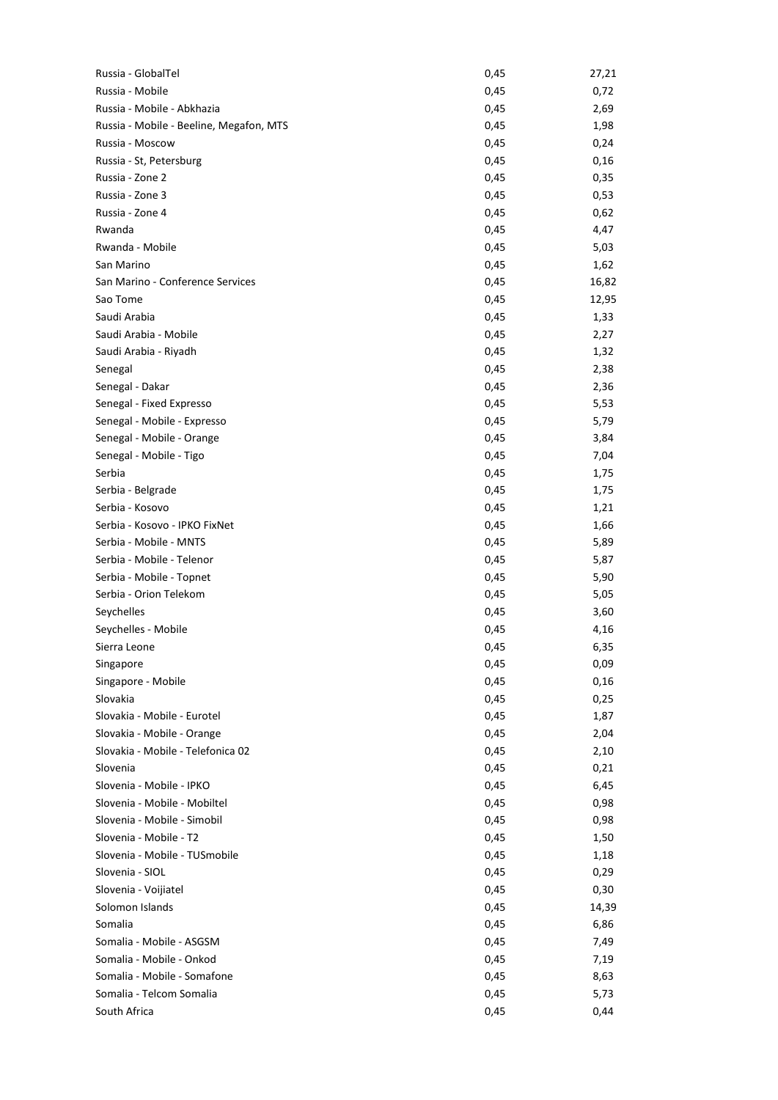| Russia - GlobalTel                      | 0,45         | 27,21        |
|-----------------------------------------|--------------|--------------|
| Russia - Mobile                         | 0,45         | 0,72         |
| Russia - Mobile - Abkhazia              | 0,45         | 2,69         |
| Russia - Mobile - Beeline, Megafon, MTS | 0,45         | 1,98         |
| Russia - Moscow                         | 0,45         | 0,24         |
| Russia - St, Petersburg                 | 0,45         | 0,16         |
| Russia - Zone 2                         | 0,45         | 0,35         |
| Russia - Zone 3                         | 0,45         | 0,53         |
| Russia - Zone 4                         | 0,45         | 0,62         |
| Rwanda                                  | 0,45         | 4,47         |
| Rwanda - Mobile                         | 0,45         | 5,03         |
| San Marino                              | 0,45         | 1,62         |
| San Marino - Conference Services        | 0,45         | 16,82        |
| Sao Tome                                | 0,45         | 12,95        |
| Saudi Arabia                            | 0,45         | 1,33         |
| Saudi Arabia - Mobile                   | 0,45         | 2,27         |
| Saudi Arabia - Riyadh                   | 0,45         | 1,32         |
| Senegal                                 | 0,45         | 2,38         |
| Senegal - Dakar                         | 0,45         | 2,36         |
| Senegal - Fixed Expresso                | 0,45         | 5,53         |
| Senegal - Mobile - Expresso             | 0,45         | 5,79         |
| Senegal - Mobile - Orange               | 0,45         | 3,84         |
| Senegal - Mobile - Tigo                 | 0,45         | 7,04         |
| Serbia                                  | 0,45         | 1,75         |
| Serbia - Belgrade                       | 0,45         | 1,75         |
| Serbia - Kosovo                         | 0,45         | 1,21         |
| Serbia - Kosovo - IPKO FixNet           | 0,45         | 1,66         |
| Serbia - Mobile - MNTS                  | 0,45         | 5,89         |
| Serbia - Mobile - Telenor               | 0,45         | 5,87         |
| Serbia - Mobile - Topnet                | 0,45         | 5,90         |
| Serbia - Orion Telekom                  | 0,45         | 5,05         |
| Seychelles                              | 0,45         | 3,60         |
| Seychelles - Mobile                     |              |              |
| Sierra Leone                            | 0,45<br>0,45 | 4,16         |
|                                         | 0,45         | 6,35<br>0,09 |
| Singapore<br>Singapore - Mobile         |              |              |
|                                         | 0,45         | 0,16         |
| Slovakia                                | 0,45         | 0,25         |
| Slovakia - Mobile - Eurotel             | 0,45         | 1,87         |
| Slovakia - Mobile - Orange              | 0,45         | 2,04         |
| Slovakia - Mobile - Telefonica 02       | 0,45         | 2,10         |
| Slovenia                                | 0,45         | 0,21         |
| Slovenia - Mobile - IPKO                | 0,45         | 6,45         |
| Slovenia - Mobile - Mobiltel            | 0,45         | 0,98         |
| Slovenia - Mobile - Simobil             | 0,45         | 0,98         |
| Slovenia - Mobile - T2                  | 0,45         | 1,50         |
| Slovenia - Mobile - TUSmobile           | 0,45         | 1,18         |
| Slovenia - SIOL                         | 0,45         | 0,29         |
| Slovenia - Voijiatel                    | 0,45         | 0,30         |
| Solomon Islands                         | 0,45         | 14,39        |
| Somalia                                 | 0,45         | 6,86         |
| Somalia - Mobile - ASGSM                | 0,45         | 7,49         |
| Somalia - Mobile - Onkod                | 0,45         | 7,19         |
| Somalia - Mobile - Somafone             | 0,45         | 8,63         |
| Somalia - Telcom Somalia                | 0,45         | 5,73         |
| South Africa                            | 0,45         | 0,44         |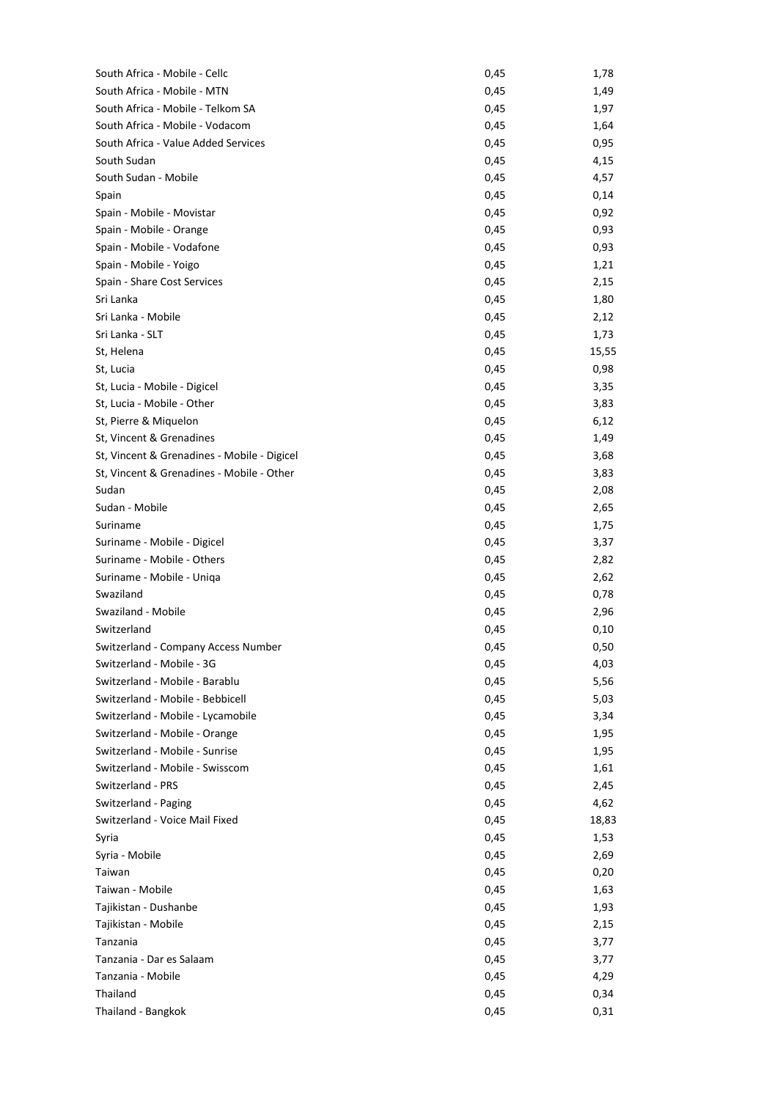| South Africa - Mobile - Cellc               | 0,45 | 1,78  |
|---------------------------------------------|------|-------|
| South Africa - Mobile - MTN                 | 0,45 | 1,49  |
| South Africa - Mobile - Telkom SA           | 0,45 | 1,97  |
| South Africa - Mobile - Vodacom             | 0,45 | 1,64  |
| South Africa - Value Added Services         | 0,45 | 0,95  |
| South Sudan                                 | 0,45 | 4,15  |
| South Sudan - Mobile                        | 0,45 | 4,57  |
| Spain                                       | 0,45 | 0,14  |
| Spain - Mobile - Movistar                   | 0,45 | 0,92  |
| Spain - Mobile - Orange                     | 0,45 | 0,93  |
| Spain - Mobile - Vodafone                   | 0,45 | 0,93  |
| Spain - Mobile - Yoigo                      | 0,45 | 1,21  |
| Spain - Share Cost Services                 | 0,45 | 2,15  |
| Sri Lanka                                   | 0,45 | 1,80  |
| Sri Lanka - Mobile                          | 0,45 | 2,12  |
| Sri Lanka - SLT                             | 0,45 | 1,73  |
| St, Helena                                  | 0,45 | 15,55 |
| St, Lucia                                   | 0,45 | 0,98  |
| St, Lucia - Mobile - Digicel                | 0,45 | 3,35  |
| St, Lucia - Mobile - Other                  | 0,45 | 3,83  |
| St, Pierre & Miquelon                       | 0,45 | 6,12  |
| St, Vincent & Grenadines                    | 0,45 | 1,49  |
| St, Vincent & Grenadines - Mobile - Digicel | 0,45 | 3,68  |
| St, Vincent & Grenadines - Mobile - Other   | 0,45 | 3,83  |
| Sudan                                       | 0,45 | 2,08  |
|                                             |      |       |
| Sudan - Mobile                              | 0,45 | 2,65  |
| Suriname                                    | 0,45 | 1,75  |
| Suriname - Mobile - Digicel                 | 0,45 | 3,37  |
| Suriname - Mobile - Others                  | 0,45 | 2,82  |
| Suriname - Mobile - Uniqa                   | 0,45 | 2,62  |
| Swaziland                                   | 0,45 | 0,78  |
| Swaziland - Mobile                          | 0,45 | 2,96  |
| Switzerland                                 | 0,45 | 0,10  |
| Switzerland - Company Access Number         | 0,45 | 0,50  |
| Switzerland - Mobile - 3G                   | 0,45 | 4,03  |
| Switzerland - Mobile - Barablu              | 0,45 | 5,56  |
| Switzerland - Mobile - Bebbicell            | 0,45 | 5,03  |
| Switzerland - Mobile - Lycamobile           | 0,45 | 3,34  |
| Switzerland - Mobile - Orange               | 0,45 | 1,95  |
| Switzerland - Mobile - Sunrise              | 0,45 | 1,95  |
| Switzerland - Mobile - Swisscom             | 0,45 | 1,61  |
| Switzerland - PRS                           | 0,45 | 2,45  |
| Switzerland - Paging                        | 0,45 | 4,62  |
| Switzerland - Voice Mail Fixed              | 0,45 | 18,83 |
| Syria                                       | 0,45 | 1,53  |
| Syria - Mobile                              | 0,45 | 2,69  |
| Taiwan                                      | 0,45 | 0,20  |
| Taiwan - Mobile                             | 0,45 | 1,63  |
| Tajikistan - Dushanbe                       | 0,45 | 1,93  |
| Tajikistan - Mobile                         | 0,45 | 2,15  |
| Tanzania                                    | 0,45 | 3,77  |
| Tanzania - Dar es Salaam                    | 0,45 | 3,77  |
| Tanzania - Mobile                           | 0,45 | 4,29  |
| Thailand                                    | 0,45 | 0,34  |
| Thailand - Bangkok                          | 0,45 | 0,31  |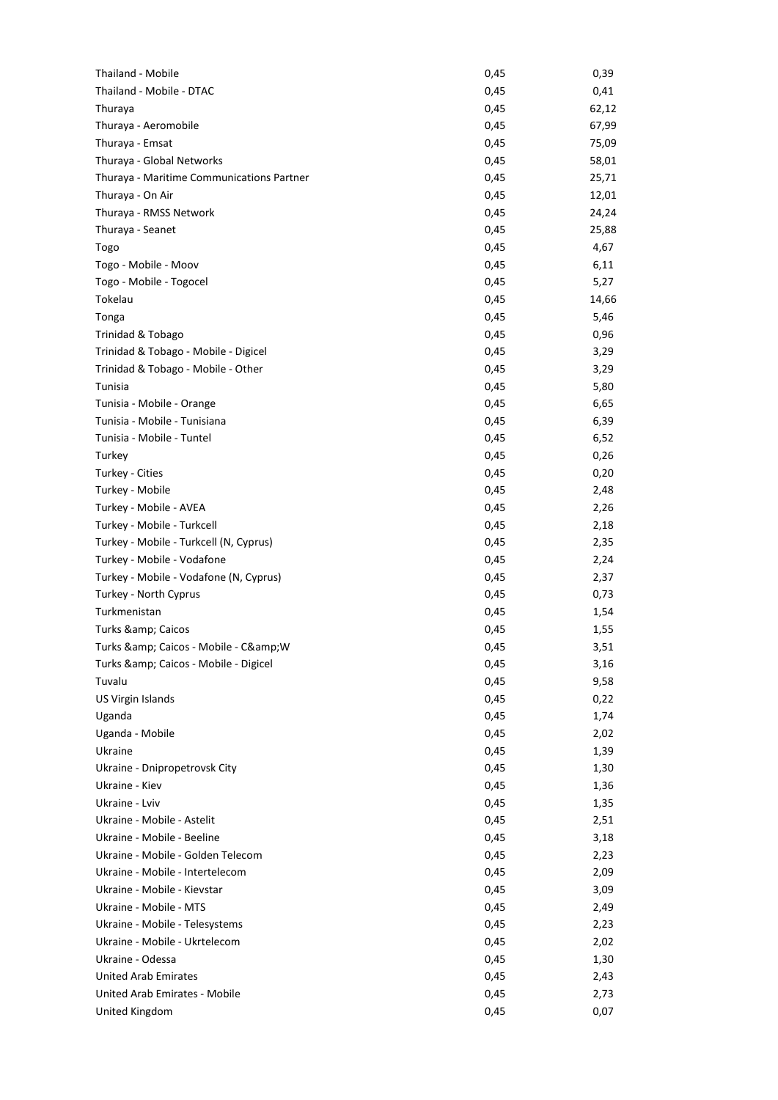| Thailand - Mobile                         | 0,45 | 0,39  |
|-------------------------------------------|------|-------|
| Thailand - Mobile - DTAC                  | 0,45 | 0,41  |
| Thuraya                                   | 0,45 | 62,12 |
| Thuraya - Aeromobile                      | 0,45 | 67,99 |
| Thuraya - Emsat                           | 0,45 | 75,09 |
| Thuraya - Global Networks                 | 0,45 | 58,01 |
| Thuraya - Maritime Communications Partner | 0,45 | 25,71 |
| Thuraya - On Air                          | 0,45 | 12,01 |
| Thuraya - RMSS Network                    | 0,45 | 24,24 |
| Thuraya - Seanet                          | 0,45 | 25,88 |
| Togo                                      | 0,45 | 4,67  |
| Togo - Mobile - Moov                      | 0,45 | 6,11  |
| Togo - Mobile - Togocel                   | 0,45 | 5,27  |
| Tokelau                                   | 0,45 | 14,66 |
| Tonga                                     | 0,45 | 5,46  |
| Trinidad & Tobago                         | 0,45 | 0,96  |
| Trinidad & Tobago - Mobile - Digicel      | 0,45 | 3,29  |
| Trinidad & Tobago - Mobile - Other        | 0,45 | 3,29  |
| Tunisia                                   | 0,45 | 5,80  |
| Tunisia - Mobile - Orange                 | 0,45 | 6,65  |
| Tunisia - Mobile - Tunisiana              | 0,45 | 6,39  |
| Tunisia - Mobile - Tuntel                 | 0,45 | 6,52  |
| Turkey                                    | 0,45 | 0,26  |
|                                           |      |       |
| Turkey - Cities                           | 0,45 | 0,20  |
| Turkey - Mobile                           | 0,45 | 2,48  |
| Turkey - Mobile - AVEA                    | 0,45 | 2,26  |
| Turkey - Mobile - Turkcell                | 0,45 | 2,18  |
| Turkey - Mobile - Turkcell (N, Cyprus)    | 0,45 | 2,35  |
| Turkey - Mobile - Vodafone                | 0,45 | 2,24  |
| Turkey - Mobile - Vodafone (N, Cyprus)    | 0,45 | 2,37  |
| Turkey - North Cyprus                     | 0,45 | 0,73  |
| Turkmenistan                              | 0,45 | 1,54  |
| Turks & Caicos                            | 0,45 | 1,55  |
| Turks & Caicos - Mobile - C& W            | 0,45 | 3,51  |
| Turks & Caicos - Mobile - Digicel         | 0,45 | 3,16  |
| Tuvalu                                    | 0,45 | 9,58  |
| US Virgin Islands                         | 0,45 | 0,22  |
| Uganda                                    | 0,45 | 1,74  |
| Uganda - Mobile                           | 0,45 | 2,02  |
| Ukraine                                   | 0,45 | 1,39  |
| Ukraine - Dnipropetrovsk City             | 0,45 | 1,30  |
| Ukraine - Kiev                            | 0,45 | 1,36  |
| Ukraine - Lviv                            | 0,45 | 1,35  |
| Ukraine - Mobile - Astelit                | 0,45 | 2,51  |
| Ukraine - Mobile - Beeline                | 0,45 | 3,18  |
| Ukraine - Mobile - Golden Telecom         | 0,45 | 2,23  |
| Ukraine - Mobile - Intertelecom           | 0,45 | 2,09  |
| Ukraine - Mobile - Kievstar               | 0,45 | 3,09  |
| Ukraine - Mobile - MTS                    | 0,45 | 2,49  |
| Ukraine - Mobile - Telesystems            | 0,45 | 2,23  |
| Ukraine - Mobile - Ukrtelecom             | 0,45 | 2,02  |
| Ukraine - Odessa                          | 0,45 | 1,30  |
| <b>United Arab Emirates</b>               | 0,45 | 2,43  |
| United Arab Emirates - Mobile             | 0,45 | 2,73  |
| United Kingdom                            | 0,45 | 0,07  |